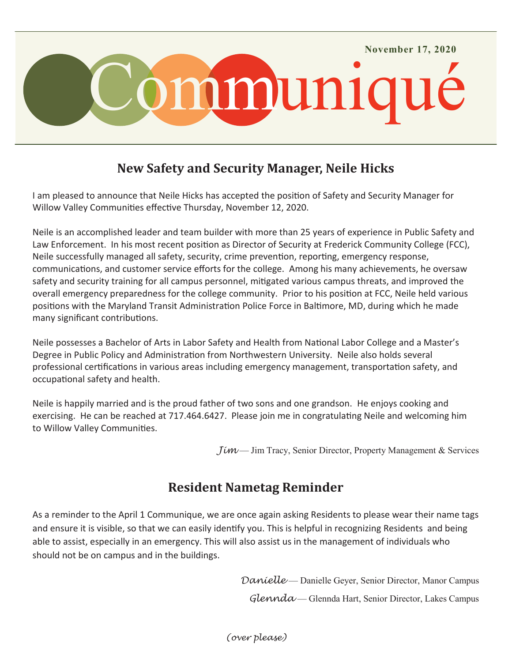

## **New Safety and Security Manager, Neile Hicks**

I am pleased to announce that Neile Hicks has accepted the position of Safety and Security Manager for Willow Valley Communities effective Thursday, November 12, 2020.

Neile is an accomplished leader and team builder with more than 25 years of experience in Public Safety and Law Enforcement. In his most recent position as Director of Security at Frederick Community College (FCC), Neile successfully managed all safety, security, crime prevention, reporting, emergency response, communications, and customer service efforts for the college. Among his many achievements, he oversaw safety and security training for all campus personnel, mitigated various campus threats, and improved the overall emergency preparedness for the college community. Prior to his position at FCC, Neile held various positions with the Maryland Transit Administration Police Force in Baltimore, MD, during which he made many significant contributions.

Neile possesses a Bachelor of Arts in Labor Safety and Health from National Labor College and a Master's Degree in Public Policy and Administration from Northwestern University. Neile also holds several professional certifications in various areas including emergency management, transportation safety, and occupational safety and health.

Neile is happily married and is the proud father of two sons and one grandson. He enjoys cooking and exercising. He can be reached at 717.464.6427. Please join me in congratulating Neile and welcoming him to Willow Valley Communities.

*Jim* — Jim Tracy, Senior Director, Property Management & Services

## **Resident Nametag Reminder**

As a reminder to the April 1 Communique, we are once again asking Residents to please wear their name tags and ensure it is visible, so that we can easily identify you. This is helpful in recognizing Residents and being able to assist, especially in an emergency. This will also assist us in the management of individuals who should not be on campus and in the buildings.

> *Danielle* — Danielle Geyer, Senior Director, Manor Campus *Glennda* — Glennda Hart, Senior Director, Lakes Campus

*(over please)*